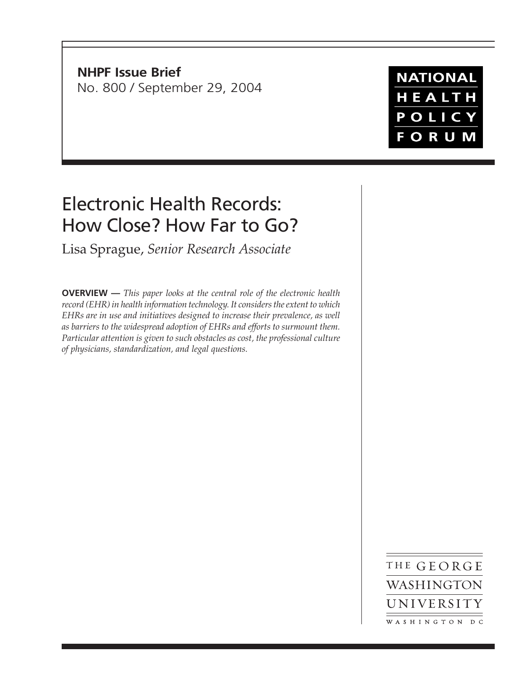**NHPF Issue Brief** No. 800 / September 29, 2004

**NATIONAL** HEALTH POLICY **FORUM** 

# Electronic Health Records: How Close? How Far to Go?

Lisa Sprague, *Senior Research Associate*

**OVERVIEW —** *This paper looks at the central role of the electronic health record (EHR) in health information technology. It considers the extent to which EHRs are in use and initiatives designed to increase their prevalence, as well as barriers to the widespread adoption of EHRs and efforts to surmount them. Particular attention is given to such obstacles as cost, the professional culture of physicians, standardization, and legal questions.*

> THE GEORGE WASHINGTON UNIVERSITY WASHINGTON DC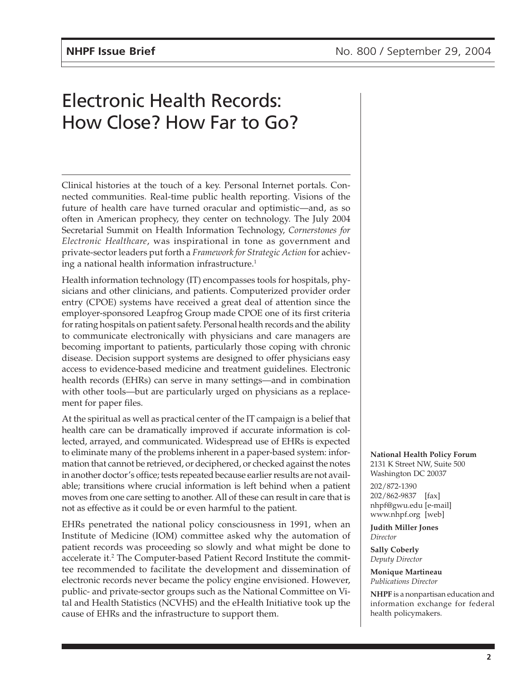# Electronic Health Records: How Close? How Far to Go?

Clinical histories at the touch of a key. Personal Internet portals. Connected communities. Real-time public health reporting. Visions of the future of health care have turned oracular and optimistic—and, as so often in American prophecy, they center on technology. The July 2004 Secretarial Summit on Health Information Technology, *Cornerstones for Electronic Healthcare*, was inspirational in tone as government and private-sector leaders put forth a *Framework for Strategic Action* for achieving a national health information infrastructure.<sup>1</sup>

Health information technology (IT) encompasses tools for hospitals, physicians and other clinicians, and patients. Computerized provider order entry (CPOE) systems have received a great deal of attention since the employer-sponsored Leapfrog Group made CPOE one of its first criteria for rating hospitals on patient safety. Personal health records and the ability to communicate electronically with physicians and care managers are becoming important to patients, particularly those coping with chronic disease. Decision support systems are designed to offer physicians easy access to evidence-based medicine and treatment guidelines. Electronic health records (EHRs) can serve in many settings—and in combination with other tools—but are particularly urged on physicians as a replacement for paper files.

At the spiritual as well as practical center of the IT campaign is a belief that health care can be dramatically improved if accurate information is collected, arrayed, and communicated. Widespread use of EHRs is expected to eliminate many of the problems inherent in a paper-based system: information that cannot be retrieved, or deciphered, or checked against the notes in another doctor's office; tests repeated because earlier results are not available; transitions where crucial information is left behind when a patient moves from one care setting to another. All of these can result in care that is not as effective as it could be or even harmful to the patient.

EHRs penetrated the national policy consciousness in 1991, when an Institute of Medicine (IOM) committee asked why the automation of patient records was proceeding so slowly and what might be done to accelerate it.<sup>2</sup> The Computer-based Patient Record Institute the committee recommended to facilitate the development and dissemination of electronic records never became the policy engine envisioned. However, public- and private-sector groups such as the National Committee on Vital and Health Statistics (NCVHS) and the eHealth Initiative took up the cause of EHRs and the infrastructure to support them.

**National Health Policy Forum** 2131 K Street NW, Suite 500 Washington DC 20037

202/872-1390 202/862-9837 [fax] nhpf@gwu.edu [e-mail] www.nhpf.org [web]

**Judith Miller Jones** *Director*

**Sally Coberly** *Deputy Director*

**Monique Martineau** *Publications Director*

**NHPF** is a nonpartisan education and information exchange for federal health policymakers.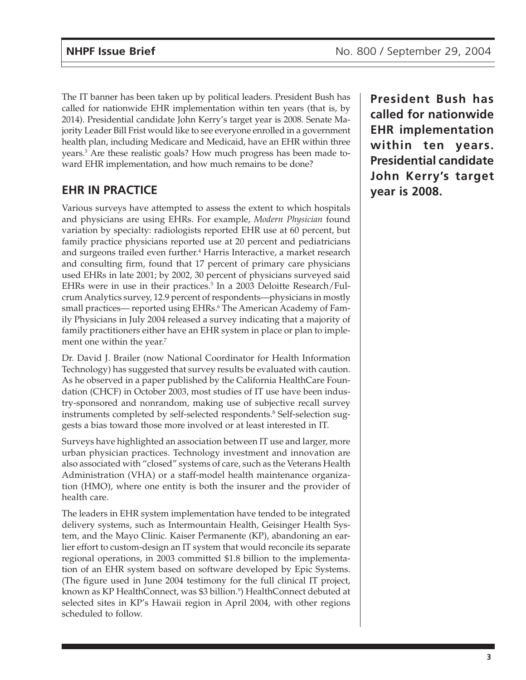The IT banner has been taken up by political leaders. President Bush has called for nationwide EHR implementation within ten years (that is, by 2014). Presidential candidate John Kerry's target year is 2008. Senate Majority Leader Bill Frist would like to see everyone enrolled in a government health plan, including Medicare and Medicaid, have an EHR within three years.3 Are these realistic goals? How much progress has been made toward EHR implementation, and how much remains to be done?

## **EHR IN PRACTICE**

Various surveys have attempted to assess the extent to which hospitals and physicians are using EHRs. For example, *Modern Physician* found variation by specialty: radiologists reported EHR use at 60 percent, but family practice physicians reported use at 20 percent and pediatricians and surgeons trailed even further.<sup>4</sup> Harris Interactive, a market research and consulting firm, found that 17 percent of primary care physicians used EHRs in late 2001; by 2002, 30 percent of physicians surveyed said EHRs were in use in their practices.<sup>5</sup> In a 2003 Deloitte Research/Fulcrum Analytics survey, 12.9 percent of respondents—physicians in mostly small practices— reported using EHRs.<sup>6</sup> The American Academy of Family Physicians in July 2004 released a survey indicating that a majority of family practitioners either have an EHR system in place or plan to implement one within the year.<sup>7</sup>

Dr. David J. Brailer (now National Coordinator for Health Information Technology) has suggested that survey results be evaluated with caution. As he observed in a paper published by the California HealthCare Foundation (CHCF) in October 2003, most studies of IT use have been industry-sponsored and nonrandom, making use of subjective recall survey instruments completed by self-selected respondents.8 Self-selection suggests a bias toward those more involved or at least interested in IT.

Surveys have highlighted an association between IT use and larger, more urban physician practices. Technology investment and innovation are also associated with "closed" systems of care, such as the Veterans Health Administration (VHA) or a staff-model health maintenance organization (HMO), where one entity is both the insurer and the provider of health care.

The leaders in EHR system implementation have tended to be integrated delivery systems, such as Intermountain Health, Geisinger Health System, and the Mayo Clinic. Kaiser Permanente (KP), abandoning an earlier effort to custom-design an IT system that would reconcile its separate regional operations, in 2003 committed \$1.8 billion to the implementation of an EHR system based on software developed by Epic Systems. (The figure used in June 2004 testimony for the full clinical IT project, known as KP HealthConnect, was \$3 billion.<sup>9</sup>) HealthConnect debuted at selected sites in KP's Hawaii region in April 2004, with other regions scheduled to follow.

**President Bush has called for nationwide EHR implementation within ten years. Presidential candidate John Kerry's target year is 2008.**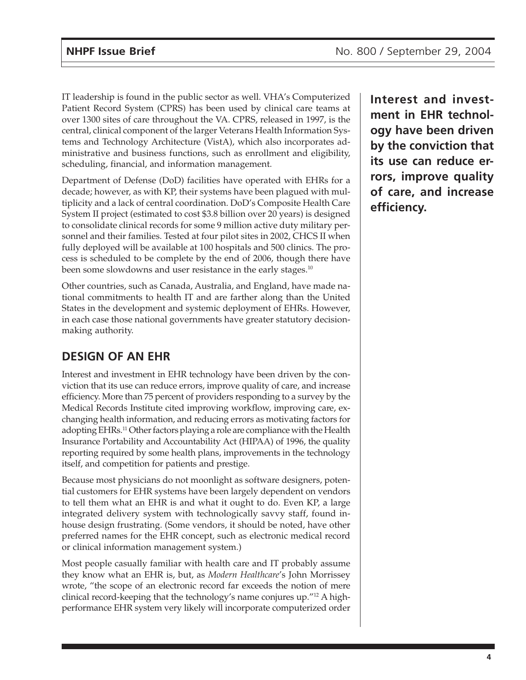IT leadership is found in the public sector as well. VHA's Computerized Patient Record System (CPRS) has been used by clinical care teams at over 1300 sites of care throughout the VA. CPRS, released in 1997, is the central, clinical component of the larger Veterans Health Information Systems and Technology Architecture (VistA), which also incorporates administrative and business functions, such as enrollment and eligibility, scheduling, financial, and information management.

Department of Defense (DoD) facilities have operated with EHRs for a decade; however, as with KP, their systems have been plagued with multiplicity and a lack of central coordination. DoD's Composite Health Care System II project (estimated to cost \$3.8 billion over 20 years) is designed to consolidate clinical records for some 9 million active duty military personnel and their families. Tested at four pilot sites in 2002, CHCS II when fully deployed will be available at 100 hospitals and 500 clinics. The process is scheduled to be complete by the end of 2006, though there have been some slowdowns and user resistance in the early stages.<sup>10</sup>

Other countries, such as Canada, Australia, and England, have made national commitments to health IT and are farther along than the United States in the development and systemic deployment of EHRs. However, in each case those national governments have greater statutory decisionmaking authority.

# **DESIGN OF AN EHR**

Interest and investment in EHR technology have been driven by the conviction that its use can reduce errors, improve quality of care, and increase efficiency. More than 75 percent of providers responding to a survey by the Medical Records Institute cited improving workflow, improving care, exchanging health information, and reducing errors as motivating factors for adopting EHRs.11 Other factors playing a role are compliance with the Health Insurance Portability and Accountability Act (HIPAA) of 1996, the quality reporting required by some health plans, improvements in the technology itself, and competition for patients and prestige.

Because most physicians do not moonlight as software designers, potential customers for EHR systems have been largely dependent on vendors to tell them what an EHR is and what it ought to do. Even KP, a large integrated delivery system with technologically savvy staff, found inhouse design frustrating. (Some vendors, it should be noted, have other preferred names for the EHR concept, such as electronic medical record or clinical information management system.)

Most people casually familiar with health care and IT probably assume they know what an EHR is, but, as *Modern Healthcare*'s John Morrissey wrote, "the scope of an electronic record far exceeds the notion of mere clinical record-keeping that the technology's name conjures up."12 A highperformance EHR system very likely will incorporate computerized order **Interest and investment in EHR technology have been driven by the conviction that its use can reduce errors, improve quality of care, and increase efficiency.**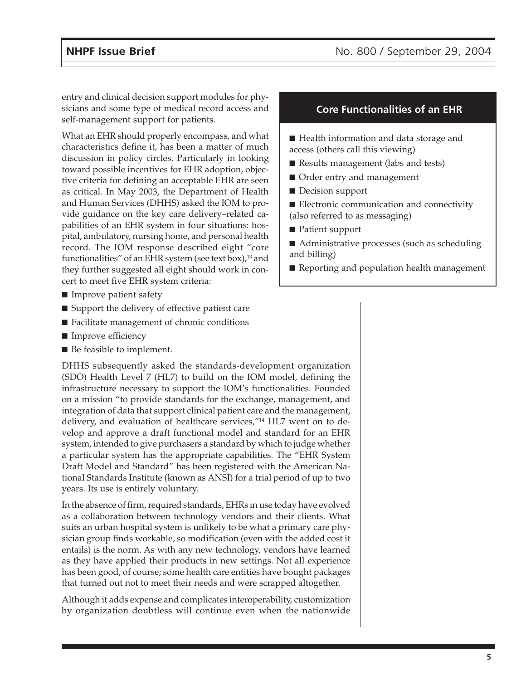entry and clinical decision support modules for physicians and some type of medical record access and self-management support for patients.

What an EHR should properly encompass, and what characteristics define it, has been a matter of much discussion in policy circles. Particularly in looking toward possible incentives for EHR adoption, objective criteria for defining an acceptable EHR are seen as critical. In May 2003, the Department of Health and Human Services (DHHS) asked the IOM to provide guidance on the key care delivery–related capabilities of an EHR system in four situations: hospital, ambulatory, nursing home, and personal health record. The IOM response described eight "core functionalities" of an EHR system (see text box), $^{13}$  and they further suggested all eight should work in concert to meet five EHR system criteria:

- Improve patient safety
- Support the delivery of effective patient care
- Facilitate management of chronic conditions
- Improve efficiency
- Be feasible to implement.

DHHS subsequently asked the standards-development organization (SDO) Health Level 7 (HL7) to build on the IOM model, defining the infrastructure necessary to support the IOM's functionalities. Founded on a mission "to provide standards for the exchange, management, and integration of data that support clinical patient care and the management, delivery, and evaluation of healthcare services,"14 HL7 went on to develop and approve a draft functional model and standard for an EHR system, intended to give purchasers a standard by which to judge whether a particular system has the appropriate capabilities. The "EHR System Draft Model and Standard" has been registered with the American National Standards Institute (known as ANSI) for a trial period of up to two years. Its use is entirely voluntary.

In the absence of firm, required standards, EHRs in use today have evolved as a collaboration between technology vendors and their clients. What suits an urban hospital system is unlikely to be what a primary care physician group finds workable, so modification (even with the added cost it entails) is the norm. As with any new technology, vendors have learned as they have applied their products in new settings. Not all experience has been good, of course; some health care entities have bought packages that turned out not to meet their needs and were scrapped altogether.

Although it adds expense and complicates interoperability, customization by organization doubtless will continue even when the nationwide

#### **Core Functionalities of an EHR**

■ Health information and data storage and access (others call this viewing)

- Results management (labs and tests)
- Order entry and management
- Decision support
- Electronic communication and connectivity (also referred to as messaging)
- Patient support
- Administrative processes (such as scheduling and billing)
- Reporting and population health management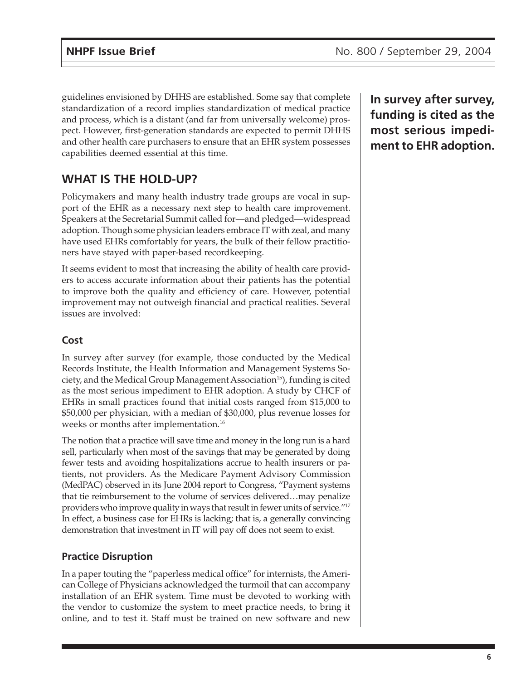guidelines envisioned by DHHS are established. Some say that complete standardization of a record implies standardization of medical practice and process, which is a distant (and far from universally welcome) prospect. However, first-generation standards are expected to permit DHHS and other health care purchasers to ensure that an EHR system possesses capabilities deemed essential at this time.

# **WHAT IS THE HOLD-UP?**

Policymakers and many health industry trade groups are vocal in support of the EHR as a necessary next step to health care improvement. Speakers at the Secretarial Summit called for—and pledged—widespread adoption. Though some physician leaders embrace IT with zeal, and many have used EHRs comfortably for years, the bulk of their fellow practitioners have stayed with paper-based recordkeeping.

It seems evident to most that increasing the ability of health care providers to access accurate information about their patients has the potential to improve both the quality and efficiency of care. However, potential improvement may not outweigh financial and practical realities. Several issues are involved:

### **Cost**

In survey after survey (for example, those conducted by the Medical Records Institute, the Health Information and Management Systems Society, and the Medical Group Management Association<sup>15</sup>), funding is cited as the most serious impediment to EHR adoption. A study by CHCF of EHRs in small practices found that initial costs ranged from \$15,000 to \$50,000 per physician, with a median of \$30,000, plus revenue losses for weeks or months after implementation.16

The notion that a practice will save time and money in the long run is a hard sell, particularly when most of the savings that may be generated by doing fewer tests and avoiding hospitalizations accrue to health insurers or patients, not providers. As the Medicare Payment Advisory Commission (MedPAC) observed in its June 2004 report to Congress, "Payment systems that tie reimbursement to the volume of services delivered…may penalize providers who improve quality in ways that result in fewer units of service."17 In effect, a business case for EHRs is lacking; that is, a generally convincing demonstration that investment in IT will pay off does not seem to exist.

### **Practice Disruption**

In a paper touting the "paperless medical office" for internists, the American College of Physicians acknowledged the turmoil that can accompany installation of an EHR system. Time must be devoted to working with the vendor to customize the system to meet practice needs, to bring it online, and to test it. Staff must be trained on new software and new

**In survey after survey, funding is cited as the most serious impediment to EHR adoption.**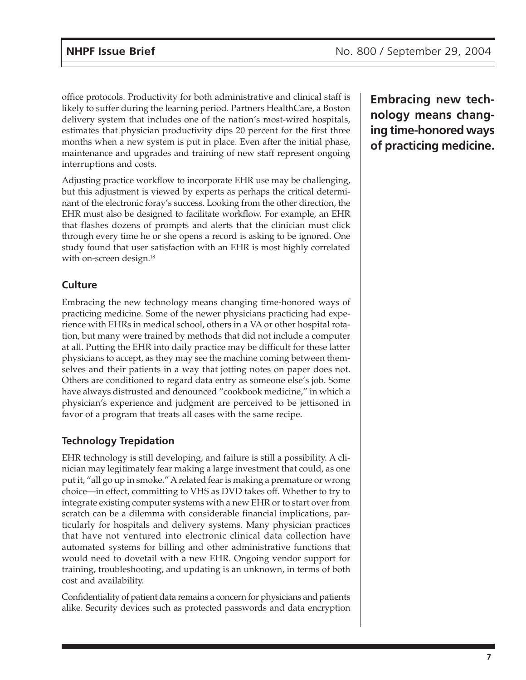office protocols. Productivity for both administrative and clinical staff is likely to suffer during the learning period. Partners HealthCare, a Boston delivery system that includes one of the nation's most-wired hospitals, estimates that physician productivity dips 20 percent for the first three months when a new system is put in place. Even after the initial phase, maintenance and upgrades and training of new staff represent ongoing interruptions and costs.

Adjusting practice workflow to incorporate EHR use may be challenging, but this adjustment is viewed by experts as perhaps the critical determinant of the electronic foray's success. Looking from the other direction, the EHR must also be designed to facilitate workflow. For example, an EHR that flashes dozens of prompts and alerts that the clinician must click through every time he or she opens a record is asking to be ignored. One study found that user satisfaction with an EHR is most highly correlated with on-screen design.<sup>18</sup>

### **Culture**

Embracing the new technology means changing time-honored ways of practicing medicine. Some of the newer physicians practicing had experience with EHRs in medical school, others in a VA or other hospital rotation, but many were trained by methods that did not include a computer at all. Putting the EHR into daily practice may be difficult for these latter physicians to accept, as they may see the machine coming between themselves and their patients in a way that jotting notes on paper does not. Others are conditioned to regard data entry as someone else's job. Some have always distrusted and denounced "cookbook medicine," in which a physician's experience and judgment are perceived to be jettisoned in favor of a program that treats all cases with the same recipe.

### **Technology Trepidation**

EHR technology is still developing, and failure is still a possibility. A clinician may legitimately fear making a large investment that could, as one put it, "all go up in smoke." A related fear is making a premature or wrong choice—in effect, committing to VHS as DVD takes off. Whether to try to integrate existing computer systems with a new EHR or to start over from scratch can be a dilemma with considerable financial implications, particularly for hospitals and delivery systems. Many physician practices that have not ventured into electronic clinical data collection have automated systems for billing and other administrative functions that would need to dovetail with a new EHR. Ongoing vendor support for training, troubleshooting, and updating is an unknown, in terms of both cost and availability.

Confidentiality of patient data remains a concern for physicians and patients alike. Security devices such as protected passwords and data encryption **Embracing new technology means changing time-honored ways of practicing medicine.**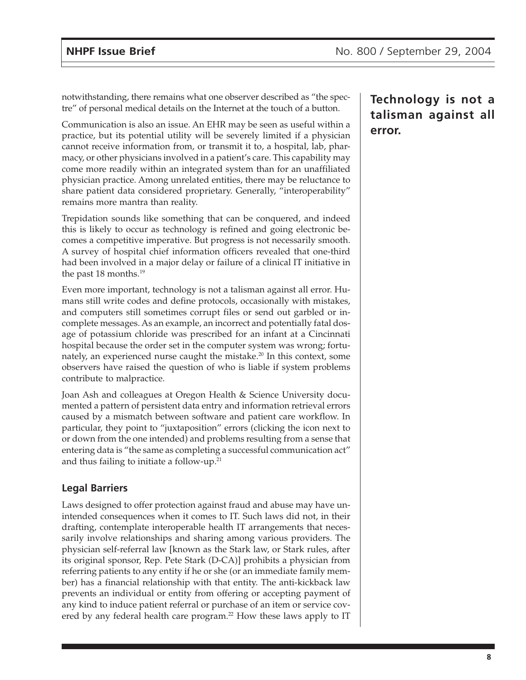notwithstanding, there remains what one observer described as "the spectre" of personal medical details on the Internet at the touch of a button.

Communication is also an issue. An EHR may be seen as useful within a practice, but its potential utility will be severely limited if a physician cannot receive information from, or transmit it to, a hospital, lab, pharmacy, or other physicians involved in a patient's care. This capability may come more readily within an integrated system than for an unaffiliated physician practice. Among unrelated entities, there may be reluctance to share patient data considered proprietary. Generally, "interoperability" remains more mantra than reality.

Trepidation sounds like something that can be conquered, and indeed this is likely to occur as technology is refined and going electronic becomes a competitive imperative. But progress is not necessarily smooth. A survey of hospital chief information officers revealed that one-third had been involved in a major delay or failure of a clinical IT initiative in the past 18 months.<sup>19</sup>

Even more important, technology is not a talisman against all error. Humans still write codes and define protocols, occasionally with mistakes, and computers still sometimes corrupt files or send out garbled or incomplete messages. As an example, an incorrect and potentially fatal dosage of potassium chloride was prescribed for an infant at a Cincinnati hospital because the order set in the computer system was wrong; fortunately, an experienced nurse caught the mistake.<sup>20</sup> In this context, some observers have raised the question of who is liable if system problems contribute to malpractice.

Joan Ash and colleagues at Oregon Health & Science University documented a pattern of persistent data entry and information retrieval errors caused by a mismatch between software and patient care workflow. In particular, they point to "juxtaposition" errors (clicking the icon next to or down from the one intended) and problems resulting from a sense that entering data is "the same as completing a successful communication act" and thus failing to initiate a follow-up. $21$ 

#### **Legal Barriers**

Laws designed to offer protection against fraud and abuse may have unintended consequences when it comes to IT. Such laws did not, in their drafting, contemplate interoperable health IT arrangements that necessarily involve relationships and sharing among various providers. The physician self-referral law [known as the Stark law, or Stark rules, after its original sponsor, Rep. Pete Stark (D-CA)] prohibits a physician from referring patients to any entity if he or she (or an immediate family member) has a financial relationship with that entity. The anti-kickback law prevents an individual or entity from offering or accepting payment of any kind to induce patient referral or purchase of an item or service covered by any federal health care program. $^{22}$  How these laws apply to IT

**Technology is not a talisman against all error.**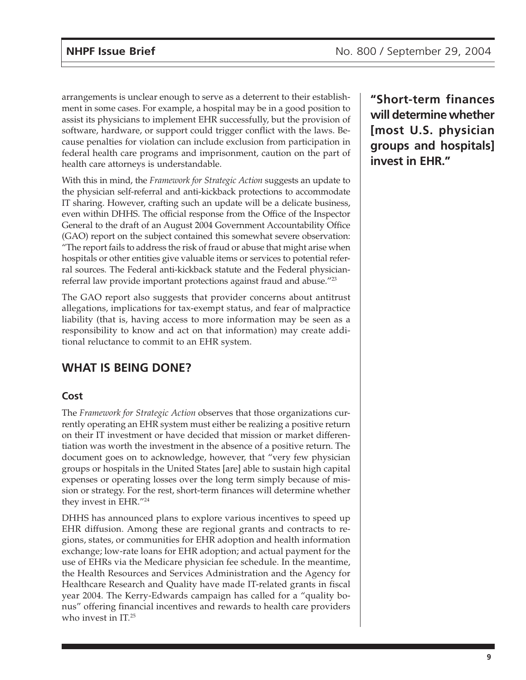arrangements is unclear enough to serve as a deterrent to their establishment in some cases. For example, a hospital may be in a good position to assist its physicians to implement EHR successfully, but the provision of software, hardware, or support could trigger conflict with the laws. Because penalties for violation can include exclusion from participation in federal health care programs and imprisonment, caution on the part of health care attorneys is understandable.

With this in mind, the *Framework for Strategic Action* suggests an update to the physician self-referral and anti-kickback protections to accommodate IT sharing. However, crafting such an update will be a delicate business, even within DHHS. The official response from the Office of the Inspector General to the draft of an August 2004 Government Accountability Office (GAO) report on the subject contained this somewhat severe observation: "The report fails to address the risk of fraud or abuse that might arise when hospitals or other entities give valuable items or services to potential referral sources. The Federal anti-kickback statute and the Federal physicianreferral law provide important protections against fraud and abuse."23

The GAO report also suggests that provider concerns about antitrust allegations, implications for tax-exempt status, and fear of malpractice liability (that is, having access to more information may be seen as a responsibility to know and act on that information) may create additional reluctance to commit to an EHR system.

# **WHAT IS BEING DONE?**

### **Cost**

The *Framework for Strategic Action* observes that those organizations currently operating an EHR system must either be realizing a positive return on their IT investment or have decided that mission or market differentiation was worth the investment in the absence of a positive return. The document goes on to acknowledge, however, that "very few physician groups or hospitals in the United States [are] able to sustain high capital expenses or operating losses over the long term simply because of mission or strategy. For the rest, short-term finances will determine whether they invest in EHR."24

DHHS has announced plans to explore various incentives to speed up EHR diffusion. Among these are regional grants and contracts to regions, states, or communities for EHR adoption and health information exchange; low-rate loans for EHR adoption; and actual payment for the use of EHRs via the Medicare physician fee schedule. In the meantime, the Health Resources and Services Administration and the Agency for Healthcare Research and Quality have made IT-related grants in fiscal year 2004. The Kerry-Edwards campaign has called for a "quality bonus" offering financial incentives and rewards to health care providers who invest in IT.<sup>25</sup>

**"Short-term finances will determine whether [most U.S. physician groups and hospitals] invest in EHR."**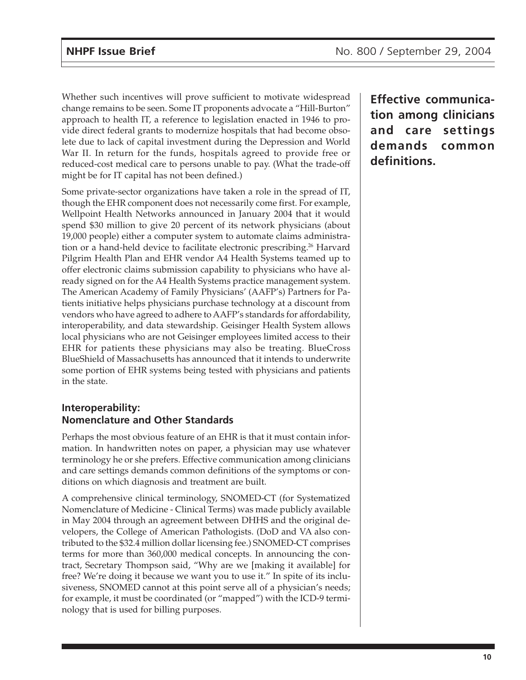Whether such incentives will prove sufficient to motivate widespread change remains to be seen. Some IT proponents advocate a "Hill-Burton" approach to health IT, a reference to legislation enacted in 1946 to provide direct federal grants to modernize hospitals that had become obsolete due to lack of capital investment during the Depression and World War II. In return for the funds, hospitals agreed to provide free or reduced-cost medical care to persons unable to pay. (What the trade-off might be for IT capital has not been defined.)

Some private-sector organizations have taken a role in the spread of IT, though the EHR component does not necessarily come first. For example, Wellpoint Health Networks announced in January 2004 that it would spend \$30 million to give 20 percent of its network physicians (about 19,000 people) either a computer system to automate claims administration or a hand-held device to facilitate electronic prescribing.<sup>26</sup> Harvard Pilgrim Health Plan and EHR vendor A4 Health Systems teamed up to offer electronic claims submission capability to physicians who have already signed on for the A4 Health Systems practice management system. The American Academy of Family Physicians' (AAFP's) Partners for Patients initiative helps physicians purchase technology at a discount from vendors who have agreed to adhere to AAFP's standards for affordability, interoperability, and data stewardship. Geisinger Health System allows local physicians who are not Geisinger employees limited access to their EHR for patients these physicians may also be treating. BlueCross BlueShield of Massachusetts has announced that it intends to underwrite some portion of EHR systems being tested with physicians and patients in the state.

#### **Interoperability: Nomenclature and Other Standards**

Perhaps the most obvious feature of an EHR is that it must contain information. In handwritten notes on paper, a physician may use whatever terminology he or she prefers. Effective communication among clinicians and care settings demands common definitions of the symptoms or conditions on which diagnosis and treatment are built.

A comprehensive clinical terminology, SNOMED-CT (for Systematized Nomenclature of Medicine - Clinical Terms) was made publicly available in May 2004 through an agreement between DHHS and the original developers, the College of American Pathologists. (DoD and VA also contributed to the \$32.4 million dollar licensing fee.) SNOMED-CT comprises terms for more than 360,000 medical concepts. In announcing the contract, Secretary Thompson said, "Why are we [making it available] for free? We're doing it because we want you to use it." In spite of its inclusiveness, SNOMED cannot at this point serve all of a physician's needs; for example, it must be coordinated (or "mapped") with the ICD-9 terminology that is used for billing purposes.

**Effective communication among clinicians and care settings demands common definitions.**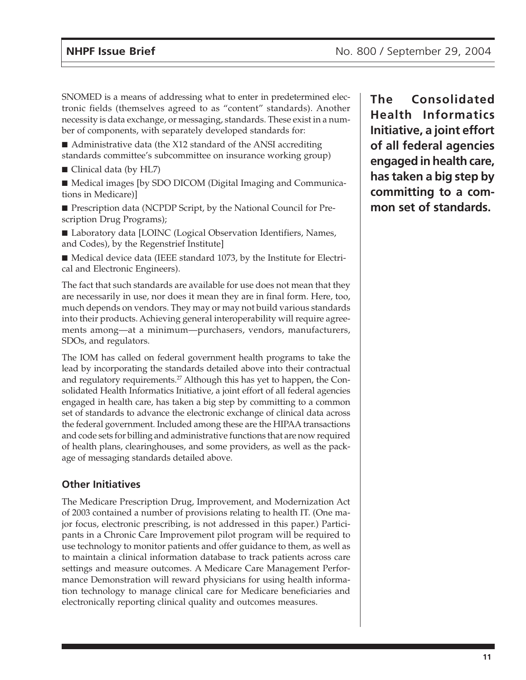SNOMED is a means of addressing what to enter in predetermined electronic fields (themselves agreed to as "content" standards). Another necessity is data exchange, or messaging, standards. These exist in a number of components, with separately developed standards for:

■ Administrative data (the X12 standard of the ANSI accrediting standards committee's subcommittee on insurance working group)

■ Clinical data (by HL7)

■ Medical images [by SDO DICOM (Digital Imaging and Communications in Medicare)]

■ Prescription data (NCPDP Script, by the National Council for Prescription Drug Programs);

■ Laboratory data [LOINC (Logical Observation Identifiers, Names, and Codes), by the Regenstrief Institute]

■ Medical device data (IEEE standard 1073, by the Institute for Electrical and Electronic Engineers).

The fact that such standards are available for use does not mean that they are necessarily in use, nor does it mean they are in final form. Here, too, much depends on vendors. They may or may not build various standards into their products. Achieving general interoperability will require agreements among—at a minimum—purchasers, vendors, manufacturers, SDOs, and regulators.

The IOM has called on federal government health programs to take the lead by incorporating the standards detailed above into their contractual and regulatory requirements.<sup>27</sup> Although this has yet to happen, the Consolidated Health Informatics Initiative, a joint effort of all federal agencies engaged in health care, has taken a big step by committing to a common set of standards to advance the electronic exchange of clinical data across the federal government. Included among these are the HIPAA transactions and code sets for billing and administrative functions that are now required of health plans, clearinghouses, and some providers, as well as the package of messaging standards detailed above.

#### **Other Initiatives**

The Medicare Prescription Drug, Improvement, and Modernization Act of 2003 contained a number of provisions relating to health IT. (One major focus, electronic prescribing, is not addressed in this paper.) Participants in a Chronic Care Improvement pilot program will be required to use technology to monitor patients and offer guidance to them, as well as to maintain a clinical information database to track patients across care settings and measure outcomes. A Medicare Care Management Performance Demonstration will reward physicians for using health information technology to manage clinical care for Medicare beneficiaries and electronically reporting clinical quality and outcomes measures.

**The Consolidated Health Informatics Initiative, a joint effort of all federal agencies engaged in health care, has taken a big step by committing to a common set of standards.**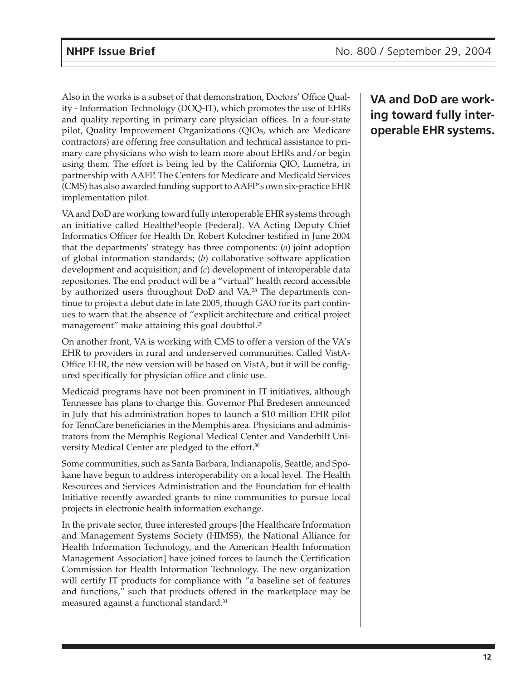Also in the works is a subset of that demonstration, Doctors' Office Quality - Information Technology (DOQ-IT), which promotes the use of EHRs and quality reporting in primary care physician offices. In a four-state pilot, Quality Improvement Organizations (QIOs, which are Medicare contractors) are offering free consultation and technical assistance to primary care physicians who wish to learn more about EHRs and/or begin using them. The effort is being led by the California QIO, Lumetra, in partnership with AAFP. The Centers for Medicare and Medicaid Services (CMS) has also awarded funding support to AAFP's own six-practice EHR implementation pilot.

VA and DoD are working toward fully interoperable EHR systems through an initiative called Health*e*People (Federal). VA Acting Deputy Chief Informatics Officer for Health Dr. Robert Kolodner testified in June 2004 that the departments' strategy has three components: (*a*) joint adoption of global information standards; (*b*) collaborative software application development and acquisition; and (*c*) development of interoperable data repositories. The end product will be a "virtual" health record accessible by authorized users throughout DoD and VA.<sup>28</sup> The departments continue to project a debut date in late 2005, though GAO for its part continues to warn that the absence of "explicit architecture and critical project management" make attaining this goal doubtful.<sup>29</sup>

On another front, VA is working with CMS to offer a version of the VA's EHR to providers in rural and underserved communities. Called VistA-Office EHR, the new version will be based on VistA, but it will be configured specifically for physician office and clinic use.

Medicaid programs have not been prominent in IT initiatives, although Tennessee has plans to change this. Governor Phil Bredesen announced in July that his administration hopes to launch a \$10 million EHR pilot for TennCare beneficiaries in the Memphis area. Physicians and administrators from the Memphis Regional Medical Center and Vanderbilt University Medical Center are pledged to the effort.<sup>30</sup>

Some communities, such as Santa Barbara, Indianapolis, Seattle, and Spokane have begun to address interoperability on a local level. The Health Resources and Services Administration and the Foundation for eHealth Initiative recently awarded grants to nine communities to pursue local projects in electronic health information exchange.

In the private sector, three interested groups [the Healthcare Information and Management Systems Society (HIMSS), the National Alliance for Health Information Technology, and the American Health Information Management Association] have joined forces to launch the Certification Commission for Health Information Technology. The new organization will certify IT products for compliance with "a baseline set of features and functions," such that products offered in the marketplace may be measured against a functional standard.<sup>31</sup>

# **VA and DoD are working toward fully interoperable EHR systems.**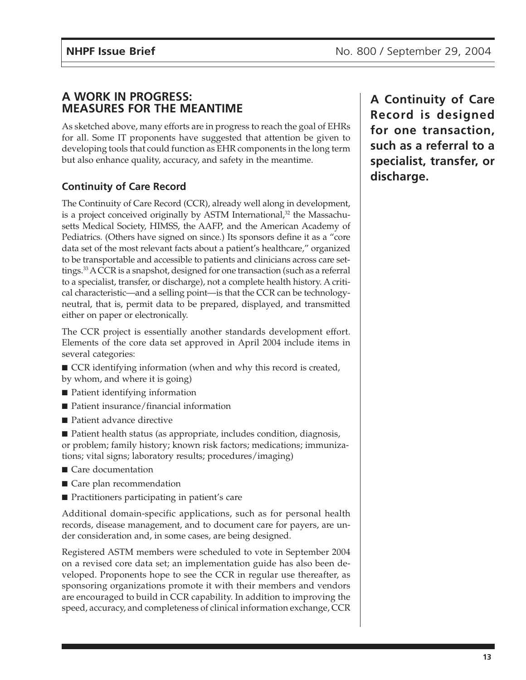### **A WORK IN PROGRESS: MEASURES FOR THE MEANTIME**

As sketched above, many efforts are in progress to reach the goal of EHRs for all. Some IT proponents have suggested that attention be given to developing tools that could function as EHR components in the long term but also enhance quality, accuracy, and safety in the meantime.

### **Continuity of Care Record**

The Continuity of Care Record (CCR), already well along in development, is a project conceived originally by ASTM International,<sup>32</sup> the Massachusetts Medical Society, HIMSS, the AAFP, and the American Academy of Pediatrics. (Others have signed on since.) Its sponsors define it as a "core data set of the most relevant facts about a patient's healthcare," organized to be transportable and accessible to patients and clinicians across care settings.33 A CCR is a snapshot, designed for one transaction (such as a referral to a specialist, transfer, or discharge), not a complete health history. A critical characteristic—and a selling point—is that the CCR can be technologyneutral, that is, permit data to be prepared, displayed, and transmitted either on paper or electronically.

The CCR project is essentially another standards development effort. Elements of the core data set approved in April 2004 include items in several categories:

- CCR identifying information (when and why this record is created, by whom, and where it is going)
- Patient identifying information
- Patient insurance/financial information
- Patient advance directive
- Patient health status (as appropriate, includes condition, diagnosis, or problem; family history; known risk factors; medications; immunizations; vital signs; laboratory results; procedures/imaging)
- Care documentation
- Care plan recommendation
- Practitioners participating in patient's care

Additional domain-specific applications, such as for personal health records, disease management, and to document care for payers, are under consideration and, in some cases, are being designed.

Registered ASTM members were scheduled to vote in September 2004 on a revised core data set; an implementation guide has also been developed. Proponents hope to see the CCR in regular use thereafter, as sponsoring organizations promote it with their members and vendors are encouraged to build in CCR capability. In addition to improving the speed, accuracy, and completeness of clinical information exchange, CCR

**A Continuity of Care Record is designed for one transaction, such as a referral to a specialist, transfer, or discharge.**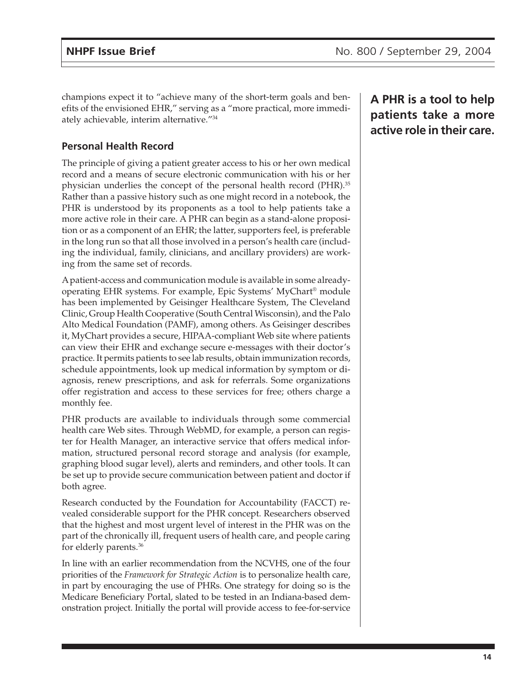champions expect it to "achieve many of the short-term goals and benefits of the envisioned EHR," serving as a "more practical, more immediately achievable, interim alternative."34

### **Personal Health Record**

The principle of giving a patient greater access to his or her own medical record and a means of secure electronic communication with his or her physician underlies the concept of the personal health record (PHR).35 Rather than a passive history such as one might record in a notebook, the PHR is understood by its proponents as a tool to help patients take a more active role in their care. A PHR can begin as a stand-alone proposition or as a component of an EHR; the latter, supporters feel, is preferable in the long run so that all those involved in a person's health care (including the individual, family, clinicians, and ancillary providers) are working from the same set of records.

A patient-access and communication module is available in some alreadyoperating EHR systems. For example, Epic Systems' MyChart® module has been implemented by Geisinger Healthcare System, The Cleveland Clinic, Group Health Cooperative (South Central Wisconsin), and the Palo Alto Medical Foundation (PAMF), among others. As Geisinger describes it, MyChart provides a secure, HIPAA-compliant Web site where patients can view their EHR and exchange secure e-messages with their doctor's practice. It permits patients to see lab results, obtain immunization records, schedule appointments, look up medical information by symptom or diagnosis, renew prescriptions, and ask for referrals. Some organizations offer registration and access to these services for free; others charge a monthly fee.

PHR products are available to individuals through some commercial health care Web sites. Through WebMD, for example, a person can register for Health Manager, an interactive service that offers medical information, structured personal record storage and analysis (for example, graphing blood sugar level), alerts and reminders, and other tools. It can be set up to provide secure communication between patient and doctor if both agree.

Research conducted by the Foundation for Accountability (FACCT) revealed considerable support for the PHR concept. Researchers observed that the highest and most urgent level of interest in the PHR was on the part of the chronically ill, frequent users of health care, and people caring for elderly parents.<sup>36</sup>

In line with an earlier recommendation from the NCVHS, one of the four priorities of the *Framework for Strategic Action* is to personalize health care, in part by encouraging the use of PHRs. One strategy for doing so is the Medicare Beneficiary Portal, slated to be tested in an Indiana-based demonstration project. Initially the portal will provide access to fee-for-service

**A PHR is a tool to help patients take a more active role in their care.**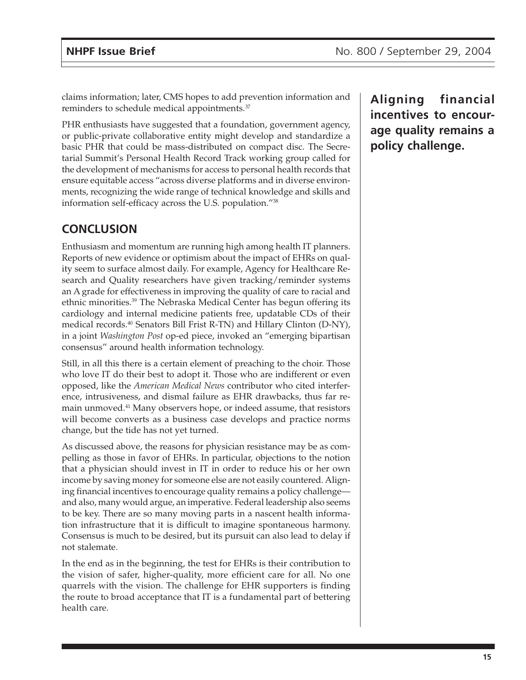claims information; later, CMS hopes to add prevention information and reminders to schedule medical appointments.37

PHR enthusiasts have suggested that a foundation, government agency, or public-private collaborative entity might develop and standardize a basic PHR that could be mass-distributed on compact disc. The Secretarial Summit's Personal Health Record Track working group called for the development of mechanisms for access to personal health records that ensure equitable access "across diverse platforms and in diverse environments, recognizing the wide range of technical knowledge and skills and information self-efficacy across the U.S. population."38

## **CONCLUSION**

Enthusiasm and momentum are running high among health IT planners. Reports of new evidence or optimism about the impact of EHRs on quality seem to surface almost daily. For example, Agency for Healthcare Research and Quality researchers have given tracking/reminder systems an A grade for effectiveness in improving the quality of care to racial and ethnic minorities.39 The Nebraska Medical Center has begun offering its cardiology and internal medicine patients free, updatable CDs of their medical records.40 Senators Bill Frist R-TN) and Hillary Clinton (D-NY), in a joint *Washington Post* op-ed piece, invoked an "emerging bipartisan consensus" around health information technology.

Still, in all this there is a certain element of preaching to the choir. Those who love IT do their best to adopt it. Those who are indifferent or even opposed, like the *American Medical News* contributor who cited interference, intrusiveness, and dismal failure as EHR drawbacks, thus far remain unmoved.41 Many observers hope, or indeed assume, that resistors will become converts as a business case develops and practice norms change, but the tide has not yet turned.

As discussed above, the reasons for physician resistance may be as compelling as those in favor of EHRs. In particular, objections to the notion that a physician should invest in IT in order to reduce his or her own income by saving money for someone else are not easily countered. Aligning financial incentives to encourage quality remains a policy challenge and also, many would argue, an imperative. Federal leadership also seems to be key. There are so many moving parts in a nascent health information infrastructure that it is difficult to imagine spontaneous harmony. Consensus is much to be desired, but its pursuit can also lead to delay if not stalemate.

In the end as in the beginning, the test for EHRs is their contribution to the vision of safer, higher-quality, more efficient care for all. No one quarrels with the vision. The challenge for EHR supporters is finding the route to broad acceptance that IT is a fundamental part of bettering health care.

**Aligning financial incentives to encourage quality remains a policy challenge.**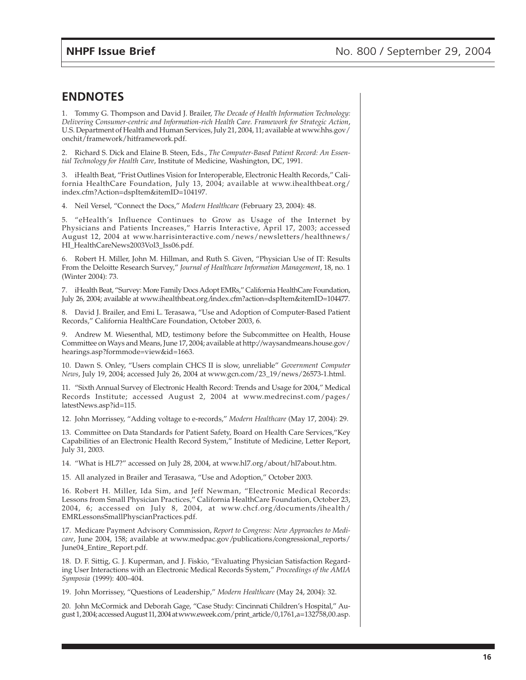### **ENDNOTES**

1. Tommy G. Thompson and David J. Brailer, *The Decade of Health Information Technology: Delivering Consumer-centric and Information-rich Health Care. Framework for Strategic Action*, U.S. Department of Health and Human Services, July 21, 2004, 11; available at www.hhs.gov/ onchit/framework/hitframework.pdf.

2. Richard S. Dick and Elaine B. Steen, Eds., *The Computer-Based Patient Record: An Essential Technology for Health Care*, Institute of Medicine, Washington, DC, 1991.

3. iHealth Beat, "Frist Outlines Vision for Interoperable, Electronic Health Records," California HealthCare Foundation, July 13, 2004; available at www.ihealthbeat.org/ index.cfm?Action=dspItem&itemID=104197.

4. Neil Versel, "Connect the Docs," *Modern Healthcare* (February 23, 2004): 48.

5. "eHealth's Influence Continues to Grow as Usage of the Internet by Physicians and Patients Increases," Harris Interactive, April 17, 2003; accessed August 12, 2004 at www.harrisinteractive.com/news/newsletters/healthnews/ HI\_HealthCareNews2003Vol3\_Iss06.pdf.

6. Robert H. Miller, John M. Hillman, and Ruth S. Given, "Physician Use of IT: Results From the Deloitte Research Survey," *Journal of Healthcare Information Management*, 18, no. 1 (Winter 2004): 73.

7. iHealth Beat, "Survey: More Family Docs Adopt EMRs," California HealthCare Foundation, July 26, 2004; available at www.ihealthbeat.org/index.cfm?action=dspItem&itemID=104477.

8. David J. Brailer, and Emi L. Terasawa, "Use and Adoption of Computer-Based Patient Records," California HealthCare Foundation, October 2003, 6.

9. Andrew M. Wiesenthal, MD, testimony before the Subcommittee on Health, House Committee on Ways and Means, June 17, 2004; available at http://waysandmeans.house.gov/ hearings.asp?formmode=view&id=1663.

10. Dawn S. Onley, "Users complain CHCS II is slow, unreliable" *Government Computer News*, July 19, 2004; accessed July 26, 2004 at www.gcn.com/23\_19/news/26573-1.html.

11. "Sixth Annual Survey of Electronic Health Record: Trends and Usage for 2004," Medical Records Institute; accessed August 2, 2004 at www.medrecinst.com/pages/ latestNews.asp?id=115.

12. John Morrissey, "Adding voltage to e-records," *Modern Healthcare* (May 17, 2004): 29.

13. Committee on Data Standards for Patient Safety, Board on Health Care Services,"Key Capabilities of an Electronic Health Record System," Institute of Medicine, Letter Report, July 31, 2003.

14. "What is HL7?" accessed on July 28, 2004, at www.hl7.org/about/hl7about.htm.

15. All analyzed in Brailer and Terasawa, "Use and Adoption," October 2003.

16. Robert H. Miller, Ida Sim, and Jeff Newman, "Electronic Medical Records: Lessons from Small Physician Practices," California HealthCare Foundation, October 23, 2004, 6; accessed on July 8, 2004, at www.chcf.org/documents/ihealth/ EMRLessonsSmallPhyscianPractices.pdf.

17. Medicare Payment Advisory Commission, *Report to Congress: New Approaches to Medicare*, June 2004, 158; available at www.medpac.gov/publications/congressional\_reports/ June04\_Entire\_Report.pdf.

18. D. F. Sittig, G. J. Kuperman, and J. Fiskio, "Evaluating Physician Satisfaction Regarding User Interactions with an Electronic Medical Records System," *Proceedings of the AMIA Symposia* (1999): 400–404.

19. John Morrissey, "Questions of Leadership," *Modern Healthcare* (May 24, 2004): 32.

20. John McCormick and Deborah Gage, "Case Study: Cincinnati Children's Hospital," August 1, 2004; accessed August 11, 2004 at www.eweek.com/print\_article/0,1761,a=132758,00.asp.